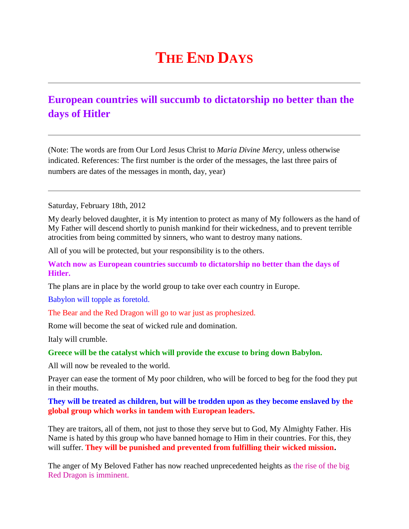## **THE END DAYS**

## **European countries will succumb to dictatorship no better than the days of Hitler**

(Note: The words are from Our Lord Jesus Christ to *Maria Divine Mercy*, unless otherwise indicated. References: The first number is the order of the messages, the last three pairs of numbers are dates of the messages in month, day, year)

Saturday, February 18th, 2012

My dearly beloved daughter, it is My intention to protect as many of My followers as the hand of My Father will descend shortly to punish mankind for their wickedness, and to prevent terrible atrocities from being committed by sinners, who want to destroy many nations.

All of you will be protected, but your responsibility is to the others.

**Watch now as European countries succumb to dictatorship no better than the days of Hitler.**

The plans are in place by the world group to take over each country in Europe.

Babylon will topple as foretold.

The Bear and the Red Dragon will go to war just as prophesized.

Rome will become the seat of wicked rule and domination.

Italy will crumble.

**Greece will be the catalyst which will provide the excuse to bring down Babylon.**

All will now be revealed to the world.

Prayer can ease the torment of My poor children, who will be forced to beg for the food they put in their mouths.

**They will be treated as children, but will be trodden upon as they become enslaved by the global group which works in tandem with European leaders.**

They are traitors, all of them, not just to those they serve but to God, My Almighty Father. His Name is hated by this group who have banned homage to Him in their countries. For this, they will suffer. **They will be punished and prevented from fulfilling their wicked mission.**

The anger of My Beloved Father has now reached unprecedented heights as the rise of the big Red Dragon is imminent.